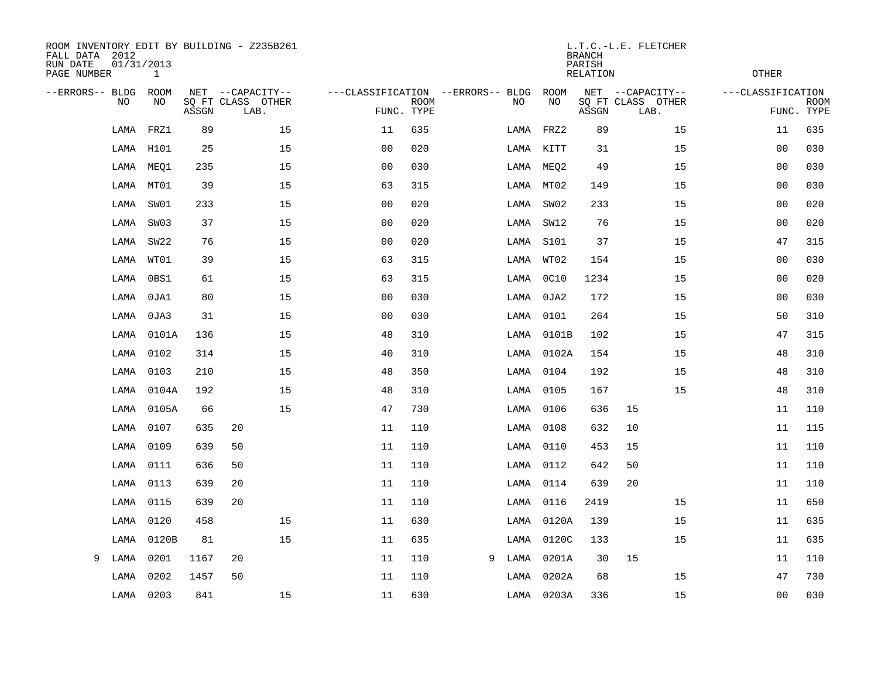| FALL DATA 2012<br>RUN DATE<br>PAGE NUMBER | 01/31/2013 | $\mathbf{1}$ |       | ROOM INVENTORY EDIT BY BUILDING - Z235B261    |                                                 |             |   |      |            | <b>BRANCH</b><br>PARISH<br><b>RELATION</b> | L.T.C.-L.E. FLETCHER                          | <b>OTHER</b>      |                           |
|-------------------------------------------|------------|--------------|-------|-----------------------------------------------|-------------------------------------------------|-------------|---|------|------------|--------------------------------------------|-----------------------------------------------|-------------------|---------------------------|
| --ERRORS-- BLDG                           | NO         | ROOM<br>NO   | ASSGN | NET --CAPACITY--<br>SQ FT CLASS OTHER<br>LAB. | ---CLASSIFICATION --ERRORS-- BLDG<br>FUNC. TYPE | <b>ROOM</b> |   | NO   | ROOM<br>NO | ASSGN                                      | NET --CAPACITY--<br>SQ FT CLASS OTHER<br>LAB. | ---CLASSIFICATION | <b>ROOM</b><br>FUNC. TYPE |
|                                           | LAMA       | FRZ1         | 89    | 15                                            | 11                                              | 635         |   | LAMA | FRZ2       | 89                                         | 15                                            | 11                | 635                       |
|                                           | LAMA       | H101         | 25    | 15                                            | 0 <sub>0</sub>                                  | 020         |   |      | LAMA KITT  | 31                                         | 15                                            | 0 <sub>0</sub>    | 030                       |
|                                           | LAMA       | MEQ1         | 235   | 15                                            | 0 <sub>0</sub>                                  | 030         |   | LAMA | MEQ2       | 49                                         | 15                                            | 0 <sub>0</sub>    | 030                       |
|                                           | LAMA       | MT01         | 39    | 15                                            | 63                                              | 315         |   | LAMA | MT02       | 149                                        | 15                                            | 0 <sub>0</sub>    | 030                       |
|                                           | LAMA       | SW01         | 233   | 15                                            | 0 <sub>0</sub>                                  | 020         |   | LAMA | SWO2       | 233                                        | 15                                            | 0 <sub>0</sub>    | 020                       |
|                                           | LAMA       | SW03         | 37    | 15                                            | 0 <sub>0</sub>                                  | 020         |   | LAMA | SW12       | 76                                         | 15                                            | 0 <sub>0</sub>    | 020                       |
|                                           | LAMA       | SW22         | 76    | 15                                            | 0 <sub>0</sub>                                  | 020         |   | LAMA | S101       | 37                                         | 15                                            | 47                | 315                       |
|                                           | LAMA       | WT01         | 39    | 15                                            | 63                                              | 315         |   | LAMA | WT02       | 154                                        | 15                                            | 0 <sub>0</sub>    | 030                       |
|                                           | LAMA       | 0BS1         | 61    | 15                                            | 63                                              | 315         |   | LAMA | 0C10       | 1234                                       | 15                                            | 0 <sub>0</sub>    | 020                       |
|                                           | LAMA       | 0JA1         | 80    | 15                                            | 0 <sub>0</sub>                                  | 030         |   | LAMA | 0JA2       | 172                                        | 15                                            | 0 <sub>0</sub>    | 030                       |
|                                           | LAMA       | 0JA3         | 31    | 15                                            | 0 <sub>0</sub>                                  | 030         |   | LAMA | 0101       | 264                                        | 15                                            | 50                | 310                       |
|                                           | LAMA       | 0101A        | 136   | 15                                            | 48                                              | 310         |   | LAMA | 0101B      | 102                                        | 15                                            | 47                | 315                       |
|                                           | LAMA       | 0102         | 314   | 15                                            | 40                                              | 310         |   | LAMA | 0102A      | 154                                        | 15                                            | 48                | 310                       |
|                                           | LAMA       | 0103         | 210   | 15                                            | 48                                              | 350         |   | LAMA | 0104       | 192                                        | 15                                            | 48                | 310                       |
|                                           | LAMA       | 0104A        | 192   | 15                                            | 48                                              | 310         |   | LAMA | 0105       | 167                                        | 15                                            | 48                | 310                       |
|                                           | LAMA       | 0105A        | 66    | 15                                            | 47                                              | 730         |   |      | LAMA 0106  | 636                                        | 15                                            | 11                | 110                       |
|                                           | LAMA       | 0107         | 635   | 20                                            | 11                                              | 110         |   | LAMA | 0108       | 632                                        | 10                                            | 11                | 115                       |
|                                           | LAMA       | 0109         | 639   | 50                                            | 11                                              | 110         |   | LAMA | 0110       | 453                                        | 15                                            | 11                | 110                       |
|                                           | LAMA       | 0111         | 636   | 50                                            | 11                                              | 110         |   | LAMA | 0112       | 642                                        | 50                                            | 11                | 110                       |
|                                           | LAMA       | 0113         | 639   | 20                                            | 11                                              | 110         |   | LAMA | 0114       | 639                                        | 20                                            | 11                | 110                       |
|                                           | LAMA       | 0115         | 639   | 20                                            | 11                                              | 110         |   | LAMA | 0116       | 2419                                       | 15                                            | 11                | 650                       |
|                                           | LAMA       | 0120         | 458   | 15                                            | 11                                              | 630         |   | LAMA | 0120A      | 139                                        | 15                                            | 11                | 635                       |
|                                           | LAMA       | 0120B        | 81    | 15                                            | 11                                              | 635         |   | LAMA | 0120C      | 133                                        | 15                                            | 11                | 635                       |
| 9                                         | LAMA       | 0201         | 1167  | 20                                            | 11                                              | 110         | 9 | LAMA | 0201A      | 30                                         | 15                                            | 11                | 110                       |
|                                           | LAMA       | 0202         | 1457  | 50                                            | 11                                              | 110         |   | LAMA | 0202A      | 68                                         | 15                                            | 47                | 730                       |
|                                           | LAMA 0203  |              | 841   | 15                                            | 11                                              | 630         |   |      | LAMA 0203A | 336                                        | 15                                            | 00                | 030                       |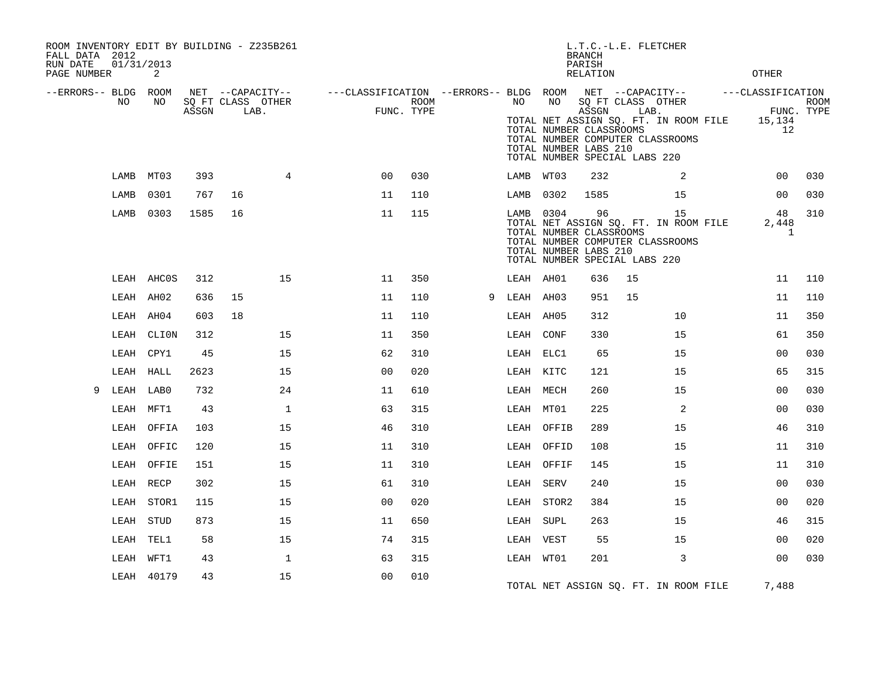| ROOM INVENTORY EDIT BY BUILDING - Z235B261<br>FALL DATA 2012<br>RUN DATE<br>PAGE NUMBER | 01/31/2013 | 2          |       |                                               |              |                                                                       |      |   |           |                                                                                         | L.T.C.-L.E. FLETCHER<br><b>BRANCH</b><br>PARISH<br><b>RELATION</b> |      |                                                                                 | <b>OTHER</b>                                    |      |
|-----------------------------------------------------------------------------------------|------------|------------|-------|-----------------------------------------------|--------------|-----------------------------------------------------------------------|------|---|-----------|-----------------------------------------------------------------------------------------|--------------------------------------------------------------------|------|---------------------------------------------------------------------------------|-------------------------------------------------|------|
| --ERRORS-- BLDG ROOM                                                                    | NO         | NO         | ASSGN | NET --CAPACITY--<br>SQ FT CLASS OTHER<br>LAB. |              | ---CLASSIFICATION --ERRORS-- BLDG ROOM NET --CAPACITY--<br>FUNC. TYPE | ROOM |   | NO        | NO<br>TOTAL NUMBER CLASSROOMS<br>TOTAL NUMBER LABS 210<br>TOTAL NUMBER SPECIAL LABS 220 | SQ FT CLASS OTHER<br>ASSGN                                         | LAB. | TOTAL NET ASSIGN SQ. FT. IN ROOM FILE<br>TOTAL NUMBER COMPUTER CLASSROOMS       | ---CLASSIFICATION<br>FUNC. TYPE<br>15,134<br>12 | ROOM |
|                                                                                         | LAMB       | MT03       | 393   |                                               | 4            | 0 <sup>0</sup>                                                        | 030  |   | LAMB WT03 |                                                                                         | 232                                                                |      | 2                                                                               | 00                                              | 030  |
|                                                                                         | LAMB       | 0301       | 767   | 16                                            |              | 11                                                                    | 110  |   | LAMB      | 0302                                                                                    | 1585                                                               |      | 15                                                                              | 0 <sub>0</sub>                                  | 030  |
|                                                                                         | LAMB       | 0303       | 1585  | 16                                            |              | 11                                                                    | 115  |   | LAMB 0304 | TOTAL NUMBER CLASSROOMS<br>TOTAL NUMBER LABS 210<br>TOTAL NUMBER SPECIAL LABS 220       | 96                                                                 |      | 15<br>TOTAL NET ASSIGN SQ. FT. IN ROOM FILE<br>TOTAL NUMBER COMPUTER CLASSROOMS | 48<br>2,448<br>$\mathbf{1}$                     | 310  |
|                                                                                         |            | LEAH AHCOS | 312   |                                               | 15           | 11                                                                    | 350  |   | LEAH AH01 |                                                                                         | 636                                                                | 15   |                                                                                 | 11                                              | 110  |
|                                                                                         |            | LEAH AH02  | 636   | 15                                            |              | 11                                                                    | 110  | 9 | LEAH AH03 |                                                                                         | 951                                                                | 15   |                                                                                 | 11                                              | 110  |
|                                                                                         |            | LEAH AH04  | 603   | 18                                            |              | 11                                                                    | 110  |   | LEAH AH05 |                                                                                         | 312                                                                |      | 10                                                                              | 11                                              | 350  |
|                                                                                         |            | LEAH CLION | 312   |                                               | 15           | 11                                                                    | 350  |   | LEAH CONF |                                                                                         | 330                                                                |      | 15                                                                              | 61                                              | 350  |
|                                                                                         |            | LEAH CPY1  | 45    |                                               | 15           | 62                                                                    | 310  |   | LEAH ELC1 |                                                                                         | 65                                                                 |      | 15                                                                              | 00                                              | 030  |
|                                                                                         | LEAH       | HALL       | 2623  |                                               | 15           | 0 <sub>0</sub>                                                        | 020  |   | LEAH KITC |                                                                                         | 121                                                                |      | 15                                                                              | 65                                              | 315  |
| 9                                                                                       | LEAH       | LAB0       | 732   |                                               | 24           | 11                                                                    | 610  |   | LEAH MECH |                                                                                         | 260                                                                |      | 15                                                                              | 00                                              | 030  |
|                                                                                         |            | LEAH MFT1  | 43    |                                               | $\mathbf{1}$ | 63                                                                    | 315  |   | LEAH MT01 |                                                                                         | 225                                                                |      | 2                                                                               | 00                                              | 030  |
|                                                                                         | LEAH       | OFFIA      | 103   |                                               | 15           | 46                                                                    | 310  |   |           | LEAH OFFIB                                                                              | 289                                                                |      | 15                                                                              | 46                                              | 310  |
|                                                                                         | LEAH       | OFFIC      | 120   |                                               | 15           | 11                                                                    | 310  |   |           | LEAH OFFID                                                                              | 108                                                                |      | 15                                                                              | 11                                              | 310  |
|                                                                                         | LEAH       | OFFIE      | 151   |                                               | 15           | 11                                                                    | 310  |   |           | LEAH OFFIF                                                                              | 145                                                                |      | 15                                                                              | 11                                              | 310  |
|                                                                                         |            | LEAH RECP  | 302   |                                               | 15           | 61                                                                    | 310  |   | LEAH SERV |                                                                                         | 240                                                                |      | 15                                                                              | 00                                              | 030  |
|                                                                                         | LEAH       | STOR1      | 115   |                                               | 15           | 0 <sub>0</sub>                                                        | 020  |   |           | LEAH STOR2                                                                              | 384                                                                |      | 15                                                                              | 0 <sub>0</sub>                                  | 020  |
|                                                                                         |            | LEAH STUD  | 873   |                                               | 15           | 11                                                                    | 650  |   | LEAH SUPL |                                                                                         | 263                                                                |      | 15                                                                              | 46                                              | 315  |
|                                                                                         | LEAH       | TEL1       | 58    |                                               | 15           | 74                                                                    | 315  |   | LEAH VEST |                                                                                         | 55                                                                 |      | 15                                                                              | 00                                              | 020  |
|                                                                                         |            | LEAH WFT1  | 43    |                                               | $\mathbf{1}$ | 63                                                                    | 315  |   | LEAH WT01 |                                                                                         | 201                                                                |      | 3                                                                               | 0 <sub>0</sub>                                  | 030  |
|                                                                                         |            | LEAH 40179 | 43    |                                               | 15           | 00                                                                    | 010  |   |           |                                                                                         |                                                                    |      | TOTAL NET ASSIGN SQ. FT. IN ROOM FILE                                           | 7,488                                           |      |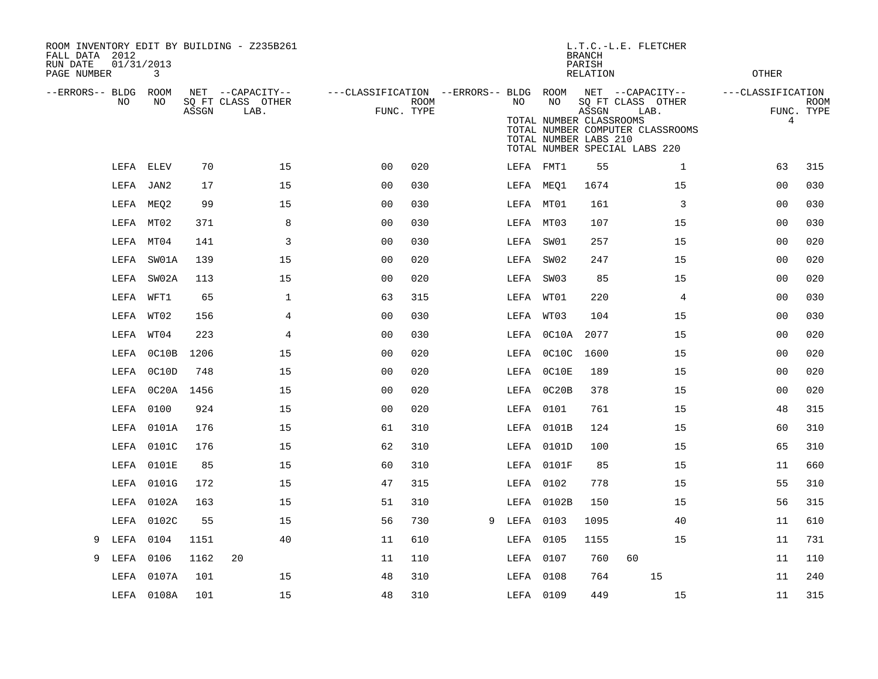| ROOM INVENTORY EDIT BY BUILDING - Z235B261<br>FALL DATA 2012<br>RUN DATE<br>PAGE NUMBER | 01/31/2013<br>3 |       |                                               |                                                      |             |   |           |                                                        | <b>BRANCH</b><br>PARISH<br><b>RELATION</b> | L.T.C.-L.E. FLETCHER                                                                                               | <b>OTHER</b>           |                           |
|-----------------------------------------------------------------------------------------|-----------------|-------|-----------------------------------------------|------------------------------------------------------|-------------|---|-----------|--------------------------------------------------------|--------------------------------------------|--------------------------------------------------------------------------------------------------------------------|------------------------|---------------------------|
| --ERRORS-- BLDG<br>NO                                                                   | ROOM<br>NO      | ASSGN | NET --CAPACITY--<br>SQ FT CLASS OTHER<br>LAB. | ---CLASSIFICATION --ERRORS-- BLDG ROOM<br>FUNC. TYPE | <b>ROOM</b> |   | NO        | NO<br>TOTAL NUMBER CLASSROOMS<br>TOTAL NUMBER LABS 210 | ASSGN                                      | NET --CAPACITY--<br>SQ FT CLASS OTHER<br>LAB.<br>TOTAL NUMBER COMPUTER CLASSROOMS<br>TOTAL NUMBER SPECIAL LABS 220 | ---CLASSIFICATION<br>4 | <b>ROOM</b><br>FUNC. TYPE |
|                                                                                         | LEFA ELEV       | 70    | 15                                            | 00                                                   | 020         |   |           | LEFA FMT1                                              | 55                                         | $\mathbf{1}$                                                                                                       | 63                     | 315                       |
|                                                                                         | LEFA JAN2       | 17    | 15                                            | 0 <sub>0</sub>                                       | 030         |   | LEFA MEQ1 |                                                        | 1674                                       | 15                                                                                                                 | 00                     | 030                       |
|                                                                                         | LEFA MEQ2       | 99    | 15                                            | 0 <sub>0</sub>                                       | 030         |   | LEFA MT01 |                                                        | 161                                        | 3                                                                                                                  | 0 <sub>0</sub>         | 030                       |
|                                                                                         | LEFA MT02       | 371   | 8                                             | 0 <sub>0</sub>                                       | 030         |   | LEFA MT03 |                                                        | 107                                        | 15                                                                                                                 | 00                     | 030                       |
|                                                                                         | LEFA MT04       | 141   | 3                                             | 0 <sub>0</sub>                                       | 030         |   | LEFA SW01 |                                                        | 257                                        | 15                                                                                                                 | 0 <sub>0</sub>         | 020                       |
| LEFA                                                                                    | SW01A           | 139   | 15                                            | 0 <sub>0</sub>                                       | 020         |   | LEFA SW02 |                                                        | 247                                        | 15                                                                                                                 | 0 <sub>0</sub>         | 020                       |
|                                                                                         | LEFA SW02A      | 113   | 15                                            | 0 <sub>0</sub>                                       | 020         |   | LEFA SW03 |                                                        | 85                                         | 15                                                                                                                 | 0 <sub>0</sub>         | 020                       |
|                                                                                         | LEFA WFT1       | 65    | $\mathbf{1}$                                  | 63                                                   | 315         |   | LEFA WT01 |                                                        | 220                                        | $\overline{4}$                                                                                                     | 0 <sub>0</sub>         | 030                       |
|                                                                                         | LEFA WT02       | 156   | 4                                             | 0 <sub>0</sub>                                       | 030         |   | LEFA      | WT03                                                   | 104                                        | 15                                                                                                                 | 00                     | 030                       |
|                                                                                         | LEFA WT04       | 223   | 4                                             | 0 <sub>0</sub>                                       | 030         |   |           | LEFA 0C10A                                             | 2077                                       | 15                                                                                                                 | 00                     | 020                       |
| LEFA                                                                                    | OCIOB           | 1206  | 15                                            | 0 <sub>0</sub>                                       | 020         |   |           | LEFA 0C10C                                             | 1600                                       | 15                                                                                                                 | 00                     | 020                       |
|                                                                                         | LEFA 0C10D      | 748   | 15                                            | 0 <sub>0</sub>                                       | 020         |   |           | LEFA OC10E                                             | 189                                        | 15                                                                                                                 | 00                     | 020                       |
|                                                                                         | LEFA 0C20A      | 1456  | 15                                            | 0 <sub>0</sub>                                       | 020         |   |           | LEFA 0C20B                                             | 378                                        | 15                                                                                                                 | 00                     | 020                       |
|                                                                                         | LEFA 0100       | 924   | 15                                            | 0 <sub>0</sub>                                       | 020         |   |           | LEFA 0101                                              | 761                                        | 15                                                                                                                 | 48                     | 315                       |
| LEFA                                                                                    | 0101A           | 176   | 15                                            | 61                                                   | 310         |   |           | LEFA 0101B                                             | 124                                        | 15                                                                                                                 | 60                     | 310                       |
|                                                                                         | LEFA 0101C      | 176   | 15                                            | 62                                                   | 310         |   |           | LEFA 0101D                                             | 100                                        | 15                                                                                                                 | 65                     | 310                       |
| LEFA                                                                                    | 0101E           | 85    | 15                                            | 60                                                   | 310         |   |           | LEFA 0101F                                             | 85                                         | 15                                                                                                                 | 11                     | 660                       |
| LEFA                                                                                    | 0101G           | 172   | 15                                            | 47                                                   | 315         |   |           | LEFA 0102                                              | 778                                        | 15                                                                                                                 | 55                     | 310                       |
| LEFA                                                                                    | 0102A           | 163   | 15                                            | 51                                                   | 310         |   |           | LEFA 0102B                                             | 150                                        | 15                                                                                                                 | 56                     | 315                       |
|                                                                                         | LEFA 0102C      | 55    | 15                                            | 56                                                   | 730         | 9 | LEFA 0103 |                                                        | 1095                                       | 40                                                                                                                 | 11                     | 610                       |
| LEFA<br>9                                                                               | 0104            | 1151  | 40                                            | 11                                                   | 610         |   | LEFA 0105 |                                                        | 1155                                       | 15                                                                                                                 | 11                     | 731                       |
| LEFA<br>9                                                                               | 0106            | 1162  | 20                                            | 11                                                   | 110         |   | LEFA 0107 |                                                        | 760                                        | 60                                                                                                                 | 11                     | 110                       |
| LEFA                                                                                    | 0107A           | 101   | 15                                            | 48                                                   | 310         |   | LEFA 0108 |                                                        | 764                                        | 15                                                                                                                 | 11                     | 240                       |
|                                                                                         | LEFA 0108A      | 101   | 15                                            | 48                                                   | 310         |   | LEFA 0109 |                                                        | 449                                        | 15                                                                                                                 | 11                     | 315                       |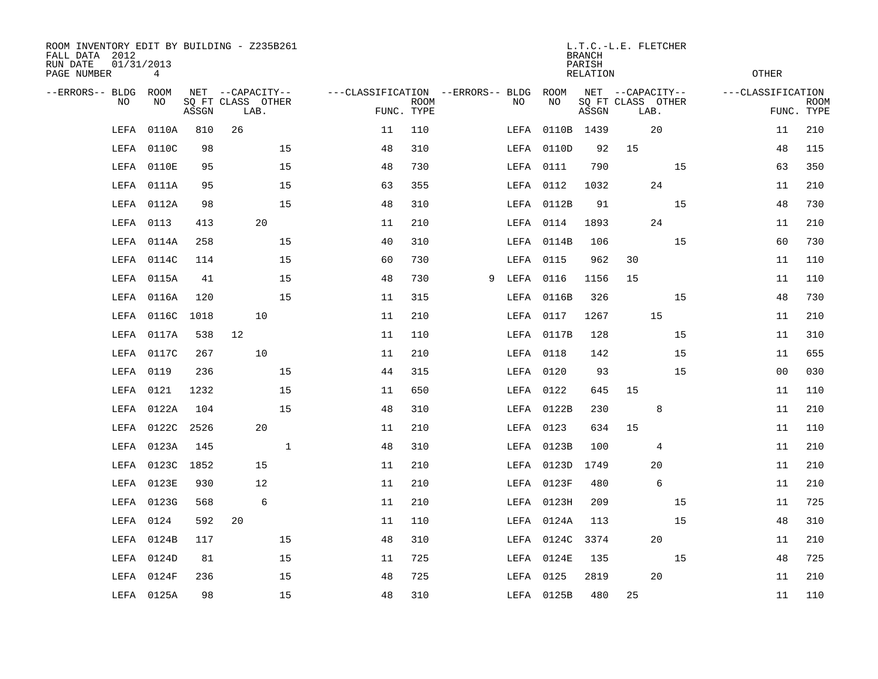| ROOM INVENTORY EDIT BY BUILDING - Z235B261<br>FALL DATA 2012<br>RUN DATE<br>PAGE NUMBER | 01/31/2013<br>4 |       |                                               |             |                                   |                           |   |      |            | <b>BRANCH</b><br>PARISH<br><b>RELATION</b> | L.T.C.-L.E. FLETCHER                          |    | <b>OTHER</b>      |                           |
|-----------------------------------------------------------------------------------------|-----------------|-------|-----------------------------------------------|-------------|-----------------------------------|---------------------------|---|------|------------|--------------------------------------------|-----------------------------------------------|----|-------------------|---------------------------|
| --ERRORS-- BLDG<br><b>NO</b>                                                            | ROOM<br>NO.     | ASSGN | NET --CAPACITY--<br>SQ FT CLASS OTHER<br>LAB. |             | ---CLASSIFICATION --ERRORS-- BLDG | <b>ROOM</b><br>FUNC. TYPE |   | NO   | ROOM<br>NO | ASSGN                                      | NET --CAPACITY--<br>SQ FT CLASS OTHER<br>LAB. |    | ---CLASSIFICATION | <b>ROOM</b><br>FUNC. TYPE |
| LEFA                                                                                    | 0110A           | 810   | 26                                            |             | 11                                | 110                       |   | LEFA | 0110B 1439 |                                            | 20                                            |    | 11                | 210                       |
| LEFA                                                                                    | 0110C           | 98    |                                               | 15          | 48                                | 310                       |   |      | LEFA 0110D | 92                                         | 15                                            |    | 48                | 115                       |
| LEFA                                                                                    | 0110E           | 95    |                                               | 15          | 48                                | 730                       |   |      | LEFA 0111  | 790                                        |                                               | 15 | 63                | 350                       |
| LEFA                                                                                    | 0111A           | 95    |                                               | 15          | 63                                | 355                       |   |      | LEFA 0112  | 1032                                       | 24                                            |    | 11                | 210                       |
| LEFA                                                                                    | 0112A           | 98    |                                               | 15          | 48                                | 310                       |   |      | LEFA 0112B | 91                                         |                                               | 15 | 48                | 730                       |
| LEFA                                                                                    | 0113            | 413   | 20                                            |             | 11                                | 210                       |   |      | LEFA 0114  | 1893                                       | 24                                            |    | 11                | 210                       |
| LEFA                                                                                    | 0114A           | 258   |                                               | 15          | 40                                | 310                       |   |      | LEFA 0114B | 106                                        |                                               | 15 | 60                | 730                       |
| LEFA                                                                                    | 0114C           | 114   |                                               | 15          | 60                                | 730                       |   |      | LEFA 0115  | 962                                        | 30                                            |    | 11                | 110                       |
| LEFA                                                                                    | 0115A           | 41    |                                               | 15          | 48                                | 730                       | 9 | LEFA | 0116       | 1156                                       | 15                                            |    | 11                | 110                       |
| LEFA                                                                                    | 0116A           | 120   |                                               | 15          | 11                                | 315                       |   |      | LEFA 0116B | 326                                        |                                               | 15 | 48                | 730                       |
| LEFA                                                                                    | 0116C           | 1018  | 10                                            |             | 11                                | 210                       |   |      | LEFA 0117  | 1267                                       | 15                                            |    | 11                | 210                       |
| LEFA                                                                                    | 0117A           | 538   | 12                                            |             | 11                                | 110                       |   |      | LEFA 0117B | 128                                        |                                               | 15 | 11                | 310                       |
| LEFA                                                                                    | 0117C           | 267   | 10                                            |             | 11                                | 210                       |   |      | LEFA 0118  | 142                                        |                                               | 15 | 11                | 655                       |
| LEFA                                                                                    | 0119            | 236   |                                               | 15          | 44                                | 315                       |   |      | LEFA 0120  | 93                                         |                                               | 15 | 0 <sub>0</sub>    | 030                       |
| LEFA                                                                                    | 0121            | 1232  |                                               | 15          | 11                                | 650                       |   |      | LEFA 0122  | 645                                        | 15                                            |    | 11                | 110                       |
| LEFA                                                                                    | 0122A           | 104   |                                               | 15          | 48                                | 310                       |   |      | LEFA 0122B | 230                                        | 8                                             |    | 11                | 210                       |
| LEFA                                                                                    | 0122C           | 2526  | 20                                            |             | 11                                | 210                       |   |      | LEFA 0123  | 634                                        | 15                                            |    | 11                | 110                       |
| LEFA                                                                                    | 0123A           | 145   |                                               | $\mathbf 1$ | 48                                | 310                       |   |      | LEFA 0123B | 100                                        |                                               | 4  | 11                | 210                       |
| LEFA                                                                                    | 0123C           | 1852  | 15                                            |             | 11                                | 210                       |   |      | LEFA 0123D | 1749                                       | 20                                            |    | 11                | 210                       |
| LEFA                                                                                    | 0123E           | 930   | 12                                            |             | 11                                | 210                       |   |      | LEFA 0123F | 480                                        |                                               | 6  | 11                | 210                       |
| LEFA                                                                                    | 0123G           | 568   | 6                                             |             | 11                                | 210                       |   |      | LEFA 0123H | 209                                        |                                               | 15 | 11                | 725                       |
| LEFA                                                                                    | 0124            | 592   | 20                                            |             | 11                                | 110                       |   |      | LEFA 0124A | 113                                        |                                               | 15 | 48                | 310                       |
| LEFA                                                                                    | 0124B           | 117   |                                               | 15          | 48                                | 310                       |   |      | LEFA 0124C | 3374                                       | 20                                            |    | 11                | 210                       |
| LEFA                                                                                    | 0124D           | 81    |                                               | 15          | 11                                | 725                       |   |      | LEFA 0124E | 135                                        |                                               | 15 | 48                | 725                       |
| LEFA                                                                                    | 0124F           | 236   |                                               | 15          | 48                                | 725                       |   |      | LEFA 0125  | 2819                                       | 20                                            |    | 11                | 210                       |
|                                                                                         | LEFA 0125A      | 98    |                                               | 15          | 48                                | 310                       |   |      | LEFA 0125B | 480                                        | 25                                            |    | 11                | 110                       |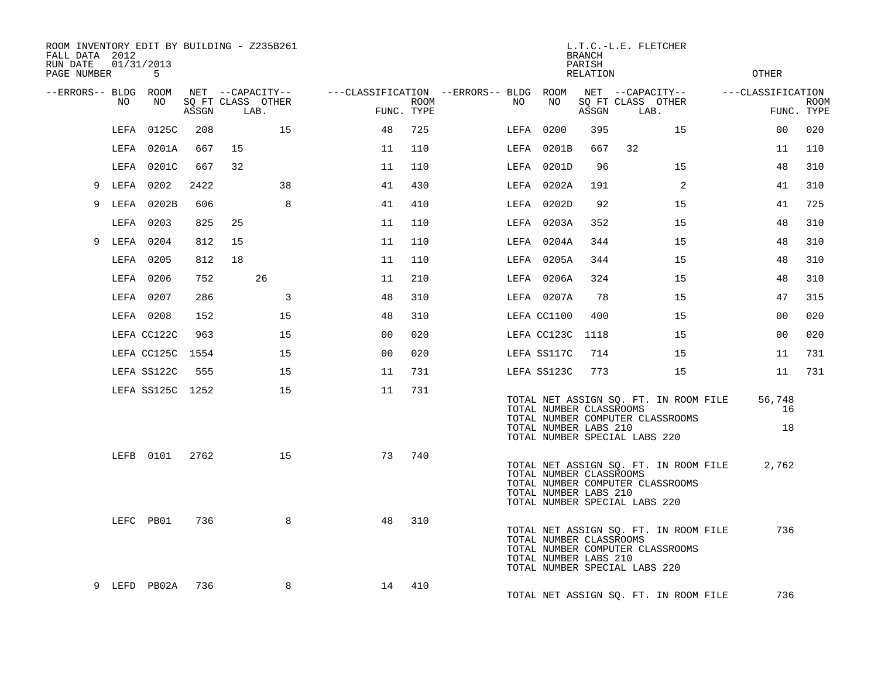| ROOM INVENTORY EDIT BY BUILDING - Z235B261<br>FALL DATA 2012<br>RUN DATE<br>PAGE NUMBER |      | 01/31/2013<br>5  |       |    |                                               |                                        |                    |     |                  | <b>BRANCH</b><br>PARISH<br>RELATION              | L.T.C.-L.E. FLETCHER                                                                                       | <b>OTHER</b>                    |             |
|-----------------------------------------------------------------------------------------|------|------------------|-------|----|-----------------------------------------------|----------------------------------------|--------------------|-----|------------------|--------------------------------------------------|------------------------------------------------------------------------------------------------------------|---------------------------------|-------------|
| --ERRORS-- BLDG ROOM                                                                    | NO.  | NO               | ASSGN |    | NET --CAPACITY--<br>SQ FT CLASS OTHER<br>LAB. | ---CLASSIFICATION --ERRORS-- BLDG ROOM | ROOM<br>FUNC. TYPE | NO. | NO               | ASSGN                                            | NET --CAPACITY--<br>SQ FT CLASS OTHER<br>LAB.                                                              | ---CLASSIFICATION<br>FUNC. TYPE | <b>ROOM</b> |
|                                                                                         | LEFA | 0125C            | 208   |    | 15                                            | 48                                     | 725                |     | LEFA 0200        | 395                                              | 15                                                                                                         | 00                              | 020         |
|                                                                                         |      | LEFA 0201A       | 667   | 15 |                                               | 11                                     | 110                |     | LEFA 0201B       | 667                                              | 32                                                                                                         | 11                              | 110         |
|                                                                                         |      | LEFA 0201C       | 667   | 32 |                                               | 11                                     | 110                |     | LEFA 0201D       | 96                                               | 15                                                                                                         | 48                              | 310         |
|                                                                                         |      | 9 LEFA 0202      | 2422  |    | 38                                            | 41                                     | 430                |     | LEFA 0202A       | 191                                              | 2                                                                                                          | 41                              | 310         |
| 9                                                                                       |      | LEFA 0202B       | 606   |    | 8                                             | 41                                     | 410                |     | LEFA 0202D       | 92                                               | 15                                                                                                         | 41                              | 725         |
|                                                                                         |      | LEFA 0203        | 825   | 25 |                                               | 11                                     | 110                |     | LEFA 0203A       | 352                                              | 15                                                                                                         | 48                              | 310         |
|                                                                                         |      | 9 LEFA 0204      | 812   | 15 |                                               | 11                                     | 110                |     | LEFA 0204A       | 344                                              | 15                                                                                                         | 48                              | 310         |
|                                                                                         |      | LEFA 0205        | 812   | 18 |                                               | 11                                     | 110                |     | LEFA 0205A       | 344                                              | 15                                                                                                         | 48                              | 310         |
|                                                                                         |      | LEFA 0206        | 752   |    | 26                                            | 11                                     | 210                |     | LEFA 0206A       | 324                                              | 15                                                                                                         | 48                              | 310         |
|                                                                                         |      | LEFA 0207        | 286   |    | 3                                             | 48                                     | 310                |     | LEFA 0207A       | 78                                               | 15                                                                                                         | 47                              | 315         |
|                                                                                         |      | LEFA 0208        | 152   |    | 15                                            | 48                                     | 310                |     | LEFA CC1100      | 400                                              | 15                                                                                                         | 00                              | 020         |
|                                                                                         |      | LEFA CC122C      | 963   |    | 15                                            | 0 <sub>0</sub>                         | 020                |     | LEFA CC123C 1118 |                                                  | 15                                                                                                         | 0 <sub>0</sub>                  | 020         |
|                                                                                         |      | LEFA CC125C 1554 |       |    | 15                                            | 00                                     | 020                |     | LEFA SS117C      | 714                                              | 15                                                                                                         | 11                              | 731         |
|                                                                                         |      | LEFA SS122C      | 555   |    | 15                                            | 11                                     | 731                |     | LEFA SS123C      | 773                                              | 15                                                                                                         | 11                              | 731         |
|                                                                                         |      | LEFA SS125C 1252 |       |    | 15                                            | 11                                     | 731                |     |                  | TOTAL NUMBER CLASSROOMS<br>TOTAL NUMBER LABS 210 | TOTAL NET ASSIGN SQ. FT. IN ROOM FILE<br>TOTAL NUMBER COMPUTER CLASSROOMS<br>TOTAL NUMBER SPECIAL LABS 220 | 56,748<br>16<br>18              |             |
|                                                                                         |      | LEFB 0101 2762   |       |    | 15                                            | 73                                     | 740                |     |                  | TOTAL NUMBER CLASSROOMS<br>TOTAL NUMBER LABS 210 | TOTAL NET ASSIGN SQ. FT. IN ROOM FILE<br>TOTAL NUMBER COMPUTER CLASSROOMS<br>TOTAL NUMBER SPECIAL LABS 220 | 2,762                           |             |
|                                                                                         |      | LEFC PB01        | 736   |    | 8                                             | 48                                     | 310                |     |                  | TOTAL NUMBER CLASSROOMS<br>TOTAL NUMBER LABS 210 | TOTAL NET ASSIGN SQ. FT. IN ROOM FILE<br>TOTAL NUMBER COMPUTER CLASSROOMS<br>TOTAL NUMBER SPECIAL LABS 220 | 736                             |             |
|                                                                                         |      | 9 LEFD PB02A     | 736   |    | 8                                             | 14                                     | 410                |     |                  |                                                  | TOTAL NET ASSIGN SQ. FT. IN ROOM FILE                                                                      | 736                             |             |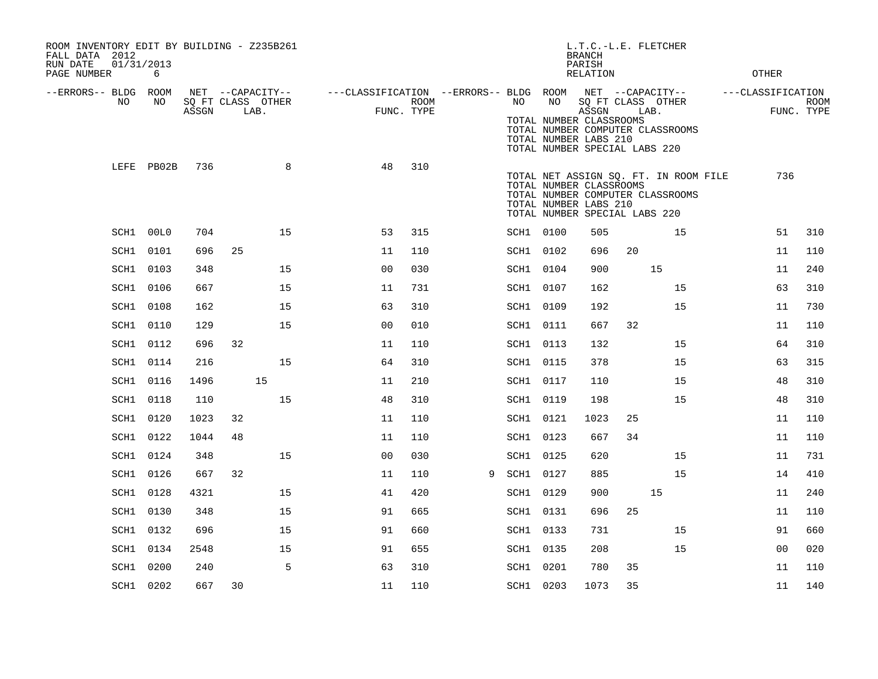| ROOM INVENTORY EDIT BY BUILDING - Z235B261<br>FALL DATA 2012<br>01/31/2013<br>RUN DATE |            |       |                                               |    |                                                                       |      |   |           |    | L.T.C.-L.E. FLETCHER<br><b>BRANCH</b><br>PARISH                                                                 |      |                                                                           |                   |                           |
|----------------------------------------------------------------------------------------|------------|-------|-----------------------------------------------|----|-----------------------------------------------------------------------|------|---|-----------|----|-----------------------------------------------------------------------------------------------------------------|------|---------------------------------------------------------------------------|-------------------|---------------------------|
| PAGE NUMBER                                                                            | 6          |       |                                               |    |                                                                       |      |   |           |    | <b>RELATION</b>                                                                                                 |      |                                                                           | <b>OTHER</b>      |                           |
| --ERRORS-- BLDG ROOM<br>NO                                                             | NO         | ASSGN | NET --CAPACITY--<br>SQ FT CLASS OTHER<br>LAB. |    | ---CLASSIFICATION --ERRORS-- BLDG ROOM NET --CAPACITY--<br>FUNC. TYPE | ROOM |   | NO .      | NO | SQ FT CLASS OTHER<br>ASSGN<br>TOTAL NUMBER CLASSROOMS<br>TOTAL NUMBER LABS 210<br>TOTAL NUMBER SPECIAL LABS 220 | LAB. | TOTAL NUMBER COMPUTER CLASSROOMS                                          | ---CLASSIFICATION | <b>ROOM</b><br>FUNC. TYPE |
|                                                                                        | LEFE PB02B | 736   |                                               | 8  | 48                                                                    | 310  |   |           |    | TOTAL NUMBER CLASSROOMS<br>TOTAL NUMBER LABS 210<br>TOTAL NUMBER SPECIAL LABS 220                               |      | TOTAL NET ASSIGN SQ. FT. IN ROOM FILE<br>TOTAL NUMBER COMPUTER CLASSROOMS | 736               |                           |
| SCH1 00L0                                                                              |            | 704   |                                               | 15 | 53                                                                    | 315  |   | SCH1 0100 |    | 505                                                                                                             |      | 15                                                                        | 51                | 310                       |
| SCH1 0101                                                                              |            | 696   | 25                                            |    | 11                                                                    | 110  |   | SCH1 0102 |    | 696                                                                                                             | 20   |                                                                           | 11                | 110                       |
| SCH1 0103                                                                              |            | 348   |                                               | 15 | 0 <sub>0</sub>                                                        | 030  |   | SCH1 0104 |    | 900                                                                                                             |      | 15                                                                        | 11                | 240                       |
| SCH1                                                                                   | 0106       | 667   |                                               | 15 | 11                                                                    | 731  |   | SCH1 0107 |    | 162                                                                                                             |      | 15                                                                        | 63                | 310                       |
| SCH1 0108                                                                              |            | 162   |                                               | 15 | 63                                                                    | 310  |   | SCH1 0109 |    | 192                                                                                                             |      | 15                                                                        | 11                | 730                       |
| SCH1                                                                                   | 0110       | 129   |                                               | 15 | 0 <sub>0</sub>                                                        | 010  |   | SCH1 0111 |    | 667                                                                                                             | 32   |                                                                           | 11                | 110                       |
| SCH1 0112                                                                              |            | 696   | 32                                            |    | 11                                                                    | 110  |   | SCH1 0113 |    | 132                                                                                                             |      | 15                                                                        | 64                | 310                       |
| SCH1                                                                                   | 0114       | 216   |                                               | 15 | 64                                                                    | 310  |   | SCH1 0115 |    | 378                                                                                                             |      | 15                                                                        | 63                | 315                       |
| SCH1                                                                                   | 0116       | 1496  | 15                                            |    | 11                                                                    | 210  |   | SCH1 0117 |    | 110                                                                                                             |      | 15                                                                        | 48                | 310                       |
| SCH1                                                                                   | 0118       | 110   |                                               | 15 | 48                                                                    | 310  |   | SCH1 0119 |    | 198                                                                                                             |      | 15                                                                        | 48                | 310                       |
| SCH1                                                                                   | 0120       | 1023  | 32                                            |    | 11                                                                    | 110  |   | SCH1 0121 |    | 1023                                                                                                            | 25   |                                                                           | 11                | 110                       |
| SCH1                                                                                   | 0122       | 1044  | 48                                            |    | 11                                                                    | 110  |   | SCH1 0123 |    | 667                                                                                                             | 34   |                                                                           | 11                | 110                       |
| SCH1                                                                                   | 0124       | 348   |                                               | 15 | 00                                                                    | 030  |   | SCH1 0125 |    | 620                                                                                                             |      | 15                                                                        | 11                | 731                       |
| SCH1                                                                                   | 0126       | 667   | 32                                            |    | 11                                                                    | 110  | 9 | SCH1 0127 |    | 885                                                                                                             |      | 15                                                                        | 14                | 410                       |
| SCH1                                                                                   | 0128       | 4321  |                                               | 15 | 41                                                                    | 420  |   | SCH1 0129 |    | 900                                                                                                             |      | 15                                                                        | 11                | 240                       |
| SCH1                                                                                   | 0130       | 348   |                                               | 15 | 91                                                                    | 665  |   | SCH1 0131 |    | 696                                                                                                             | 25   |                                                                           | 11                | 110                       |
| SCH1                                                                                   | 0132       | 696   |                                               | 15 | 91                                                                    | 660  |   | SCH1 0133 |    | 731                                                                                                             |      | 15                                                                        | 91                | 660                       |
| SCH1                                                                                   | 0134       | 2548  |                                               | 15 | 91                                                                    | 655  |   | SCH1 0135 |    | 208                                                                                                             |      | 15                                                                        | 0 <sub>0</sub>    | 020                       |
| SCH1                                                                                   | 0200       | 240   |                                               | 5  | 63                                                                    | 310  |   | SCH1 0201 |    | 780                                                                                                             | 35   |                                                                           | 11                | 110                       |
| SCH1 0202                                                                              |            | 667   | 30                                            |    | 11                                                                    | 110  |   | SCH1 0203 |    | 1073                                                                                                            | 35   |                                                                           | 11                | 140                       |
|                                                                                        |            |       |                                               |    |                                                                       |      |   |           |    |                                                                                                                 |      |                                                                           |                   |                           |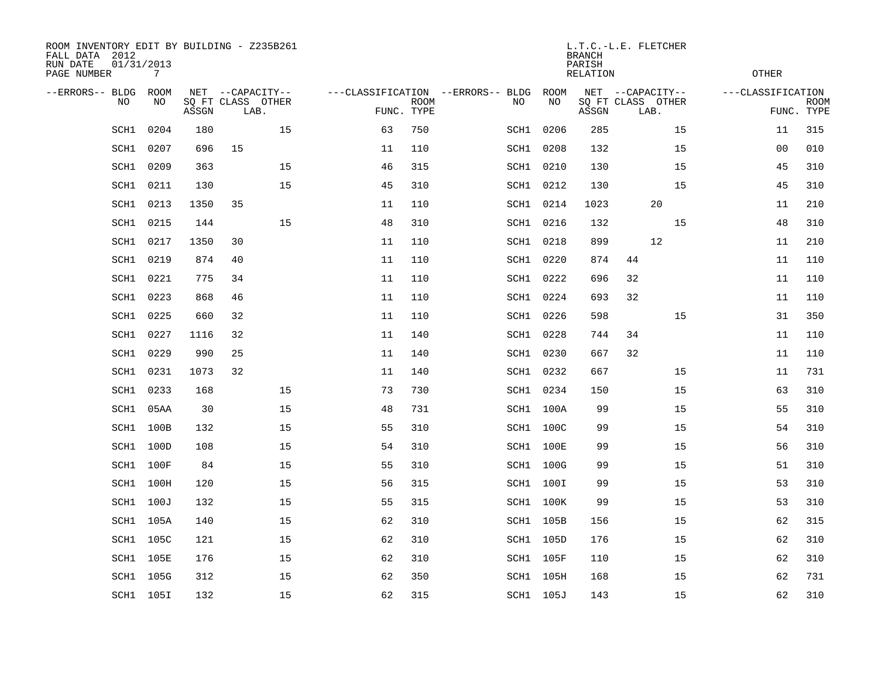| ROOM INVENTORY EDIT BY BUILDING - Z235B261<br>FALL DATA 2012<br>RUN DATE<br>PAGE NUMBER | 01/31/2013 | 7          |       |                                               |    |                                   |                           |      |                  | <b>BRANCH</b><br>PARISH<br><b>RELATION</b> | L.T.C.-L.E. FLETCHER                          |    | <b>OTHER</b>      |                           |
|-----------------------------------------------------------------------------------------|------------|------------|-------|-----------------------------------------------|----|-----------------------------------|---------------------------|------|------------------|--------------------------------------------|-----------------------------------------------|----|-------------------|---------------------------|
| --ERRORS-- BLDG                                                                         | <b>NO</b>  | ROOM<br>NO | ASSGN | NET --CAPACITY--<br>SO FT CLASS OTHER<br>LAB. |    | ---CLASSIFICATION --ERRORS-- BLDG | <b>ROOM</b><br>FUNC. TYPE | NO   | ROOM<br>NO       | ASSGN                                      | NET --CAPACITY--<br>SQ FT CLASS OTHER<br>LAB. |    | ---CLASSIFICATION | <b>ROOM</b><br>FUNC. TYPE |
|                                                                                         | SCH1       | 0204       | 180   |                                               | 15 | 63                                | 750                       | SCH1 | 0206             | 285                                        |                                               | 15 | 11                | 315                       |
|                                                                                         | SCH1       | 0207       | 696   | 15                                            |    | 11                                | 110                       | SCH1 | 0208             | 132                                        |                                               | 15 | 0 <sub>0</sub>    | 010                       |
|                                                                                         | SCH1       | 0209       | 363   |                                               | 15 | 46                                | 315                       |      | SCH1 0210        | 130                                        |                                               | 15 | 45                | 310                       |
|                                                                                         | SCH1       | 0211       | 130   |                                               | 15 | 45                                | 310                       |      | SCH1 0212        | 130                                        |                                               | 15 | 45                | 310                       |
|                                                                                         | SCH1       | 0213       | 1350  | 35                                            |    | 11                                | 110                       |      | SCH1 0214        | 1023                                       | 20                                            |    | 11                | 210                       |
|                                                                                         | SCH1       | 0215       | 144   |                                               | 15 | 48                                | 310                       |      | SCH1 0216        | 132                                        |                                               | 15 | 48                | 310                       |
|                                                                                         | SCH1       | 0217       | 1350  | 30                                            |    | 11                                | 110                       |      | SCH1 0218        | 899                                        | 12                                            |    | 11                | 210                       |
|                                                                                         | SCH1       | 0219       | 874   | 40                                            |    | 11                                | 110                       |      | SCH1 0220        | 874                                        | 44                                            |    | 11                | 110                       |
|                                                                                         | SCH1       | 0221       | 775   | 34                                            |    | 11                                | 110                       |      | SCH1 0222        | 696                                        | 32                                            |    | 11                | 110                       |
|                                                                                         | SCH1       | 0223       | 868   | 46                                            |    | 11                                | 110                       |      | SCH1 0224        | 693                                        | 32                                            |    | 11                | 110                       |
|                                                                                         | SCH1       | 0225       | 660   | 32                                            |    | 11                                | 110                       |      | SCH1 0226        | 598                                        |                                               | 15 | 31                | 350                       |
|                                                                                         | SCH1       | 0227       | 1116  | 32                                            |    | 11                                | 140                       |      | SCH1 0228        | 744                                        | 34                                            |    | 11                | 110                       |
|                                                                                         | SCH1       | 0229       | 990   | 25                                            |    | 11                                | 140                       |      | SCH1 0230        | 667                                        | 32                                            |    | 11                | 110                       |
|                                                                                         | SCH1       | 0231       | 1073  | 32                                            |    | 11                                | 140                       |      | SCH1 0232        | 667                                        |                                               | 15 | 11                | 731                       |
|                                                                                         | SCH1       | 0233       | 168   |                                               | 15 | 73                                | 730                       |      | SCH1 0234        | 150                                        |                                               | 15 | 63                | 310                       |
|                                                                                         | SCH1       | 05AA       | 30    |                                               | 15 | 48                                | 731                       |      | SCH1 100A        | 99                                         |                                               | 15 | 55                | 310                       |
|                                                                                         | SCH1       | 100B       | 132   |                                               | 15 | 55                                | 310                       |      | SCH1 100C        | 99                                         |                                               | 15 | 54                | 310                       |
|                                                                                         | SCH1       | 100D       | 108   |                                               | 15 | 54                                | 310                       |      | <b>SCH1 100E</b> | 99                                         |                                               | 15 | 56                | 310                       |
|                                                                                         | SCH1       | 100F       | 84    |                                               | 15 | 55                                | 310                       |      | SCH1 100G        | 99                                         |                                               | 15 | 51                | 310                       |
|                                                                                         | SCH1       | 100H       | 120   |                                               | 15 | 56                                | 315                       |      | SCH1 100I        | 99                                         |                                               | 15 | 53                | 310                       |
|                                                                                         | SCH1       | 100J       | 132   |                                               | 15 | 55                                | 315                       |      | SCH1 100K        | 99                                         |                                               | 15 | 53                | 310                       |
|                                                                                         | SCH1       | 105A       | 140   |                                               | 15 | 62                                | 310                       |      | SCH1 105B        | 156                                        |                                               | 15 | 62                | 315                       |
|                                                                                         | SCH1       | 105C       | 121   |                                               | 15 | 62                                | 310                       |      | SCH1 105D        | 176                                        |                                               | 15 | 62                | 310                       |
|                                                                                         | SCH1       | 105E       | 176   |                                               | 15 | 62                                | 310                       |      | SCH1 105F        | 110                                        |                                               | 15 | 62                | 310                       |
|                                                                                         | SCH1       | 105G       | 312   |                                               | 15 | 62                                | 350                       |      | SCH1 105H        | 168                                        |                                               | 15 | 62                | 731                       |
|                                                                                         |            | SCH1 105I  | 132   |                                               | 15 | 62                                | 315                       |      | SCH1 105J        | 143                                        |                                               | 15 | 62                | 310                       |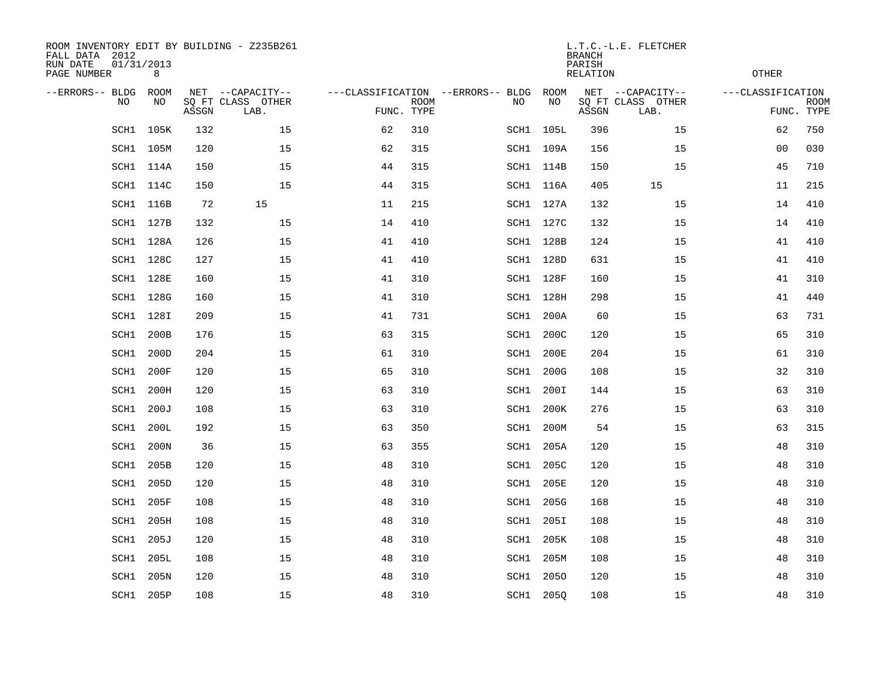| ROOM INVENTORY EDIT BY BUILDING - Z235B261<br>FALL DATA 2012<br>RUN DATE<br>PAGE NUMBER | 01/31/2013<br>8 |       |                                               |            |             |                                         |            | <b>BRANCH</b><br>PARISH<br>RELATION | L.T.C.-L.E. FLETCHER                          | OTHER             |                           |
|-----------------------------------------------------------------------------------------|-----------------|-------|-----------------------------------------------|------------|-------------|-----------------------------------------|------------|-------------------------------------|-----------------------------------------------|-------------------|---------------------------|
| --ERRORS-- BLDG<br>NO                                                                   | ROOM<br>NO      | ASSGN | NET --CAPACITY--<br>SQ FT CLASS OTHER<br>LAB. | FUNC. TYPE | <b>ROOM</b> | ---CLASSIFICATION --ERRORS-- BLDG<br>NO | ROOM<br>NO | ASSGN                               | NET --CAPACITY--<br>SQ FT CLASS OTHER<br>LAB. | ---CLASSIFICATION | <b>ROOM</b><br>FUNC. TYPE |
| SCH1                                                                                    | 105K            | 132   | 15                                            | 62         | 310         |                                         | SCH1 105L  | 396                                 | 15                                            | 62                | 750                       |
| SCH1                                                                                    | 105M            | 120   | 15                                            | 62         | 315         |                                         | SCH1 109A  | 156                                 | 15                                            | 00                | 030                       |
| SCH1                                                                                    | 114A            | 150   | 15                                            | 44         | 315         |                                         | SCH1 114B  | 150                                 | 15                                            | 45                | 710                       |
|                                                                                         | SCH1 114C       | 150   | 15                                            | 44         | 315         |                                         | SCH1 116A  | 405                                 | 15                                            | 11                | 215                       |
| SCH1                                                                                    | 116B            | 72    | 15                                            | 11         | 215         |                                         | SCH1 127A  | 132                                 | 15                                            | 14                | 410                       |
|                                                                                         | SCH1 127B       | 132   | 15                                            | 14         | 410         |                                         | SCH1 127C  | 132                                 | 15                                            | 14                | 410                       |
| SCH1                                                                                    | 128A            | 126   | 15                                            | 41         | 410         |                                         | SCH1 128B  | 124                                 | 15                                            | 41                | 410                       |
|                                                                                         | SCH1 128C       | 127   | 15                                            | 41         | 410         |                                         | SCH1 128D  | 631                                 | 15                                            | 41                | 410                       |
| SCH1                                                                                    | 128E            | 160   | 15                                            | 41         | 310         |                                         | SCH1 128F  | 160                                 | 15                                            | 41                | 310                       |
|                                                                                         | SCH1 128G       | 160   | 15                                            | 41         | 310         |                                         | SCH1 128H  | 298                                 | 15                                            | 41                | 440                       |
| SCH1                                                                                    | 128I            | 209   | 15                                            | 41         | 731         |                                         | SCH1 200A  | 60                                  | 15                                            | 63                | 731                       |
| SCH1                                                                                    | 200B            | 176   | 15                                            | 63         | 315         | SCH1                                    | 200C       | 120                                 | 15                                            | 65                | 310                       |
| SCH1                                                                                    | 200D            | 204   | 15                                            | 61         | 310         | SCH1                                    | 200E       | 204                                 | 15                                            | 61                | 310                       |
| SCH1                                                                                    | 200F            | 120   | 15                                            | 65         | 310         |                                         | SCH1 200G  | 108                                 | 15                                            | 32                | 310                       |
| SCH1                                                                                    | 200H            | 120   | 15                                            | 63         | 310         | SCH1                                    | 200I       | 144                                 | 15                                            | 63                | 310                       |
| SCH1                                                                                    | 200J            | 108   | 15                                            | 63         | 310         | SCH1                                    | 200K       | 276                                 | 15                                            | 63                | 310                       |
| SCH1                                                                                    | 200L            | 192   | 15                                            | 63         | 350         | SCH1                                    | 200M       | 54                                  | 15                                            | 63                | 315                       |
| SCH1                                                                                    | 200N            | 36    | 15                                            | 63         | 355         |                                         | SCH1 205A  | 120                                 | 15                                            | 48                | 310                       |
| SCH1                                                                                    | 205B            | 120   | 15                                            | 48         | 310         | SCH1                                    | 205C       | 120                                 | 15                                            | 48                | 310                       |
| $\mbox{SCH1}$                                                                           | 205D            | 120   | 15                                            | 48         | 310         | SCH1                                    | 205E       | 120                                 | 15                                            | 48                | 310                       |
| SCH1                                                                                    | 205F            | 108   | 15                                            | 48         | 310         | SCH1                                    | 205G       | 168                                 | 15                                            | 48                | 310                       |
| SCH1                                                                                    | 205H            | 108   | 15                                            | 48         | 310         | SCH1                                    | 205I       | 108                                 | 15                                            | 48                | 310                       |
| SCH1                                                                                    | 205J            | 120   | 15                                            | 48         | 310         | SCH1                                    | 205K       | 108                                 | 15                                            | 48                | 310                       |
| SCH1                                                                                    | 205L            | 108   | 15                                            | 48         | 310         | SCH1                                    | 205M       | 108                                 | 15                                            | 48                | 310                       |
| SCH1                                                                                    | 205N            | 120   | 15                                            | 48         | 310         | SCH1                                    | 2050       | 120                                 | 15                                            | 48                | 310                       |
|                                                                                         | SCH1 205P       | 108   | 15                                            | 48         | 310         |                                         | SCH1 2050  | 108                                 | 15                                            | 48                | 310                       |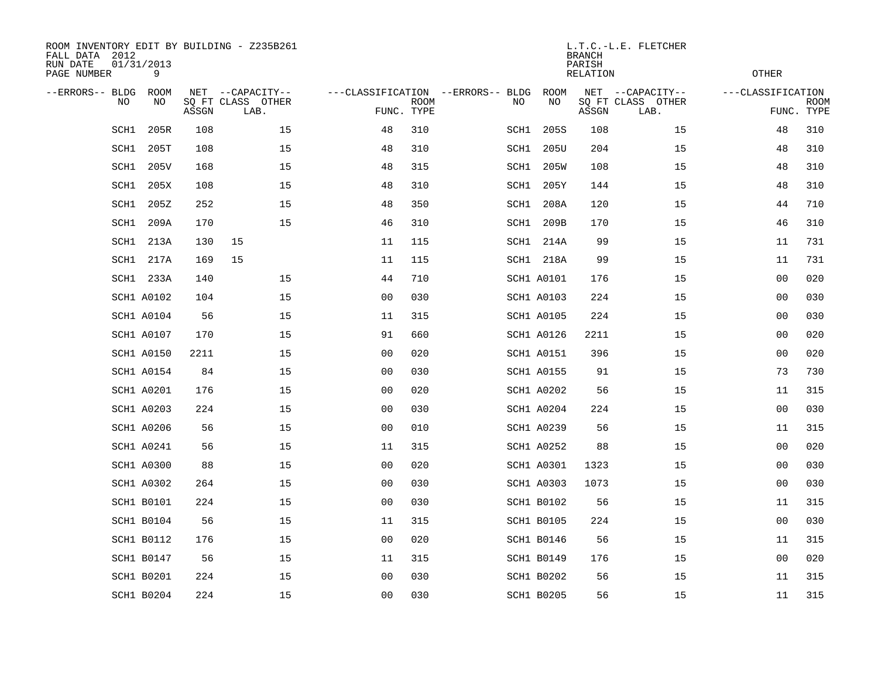| ROOM INVENTORY EDIT BY BUILDING - Z235B261<br>FALL DATA 2012<br>RUN DATE<br>PAGE NUMBER | 01/31/2013<br>9    |       |                                               |                |             |                                          |                   | <b>BRANCH</b><br>PARISH<br>RELATION | L.T.C.-L.E. FLETCHER                          | <b>OTHER</b>      |                           |
|-----------------------------------------------------------------------------------------|--------------------|-------|-----------------------------------------------|----------------|-------------|------------------------------------------|-------------------|-------------------------------------|-----------------------------------------------|-------------------|---------------------------|
| --ERRORS-- BLDG<br>NO.                                                                  | <b>ROOM</b><br>NO. | ASSGN | NET --CAPACITY--<br>SQ FT CLASS OTHER<br>LAB. | FUNC. TYPE     | <b>ROOM</b> | ---CLASSIFICATION --ERRORS-- BLDG<br>NO. | <b>ROOM</b><br>NO | ASSGN                               | NET --CAPACITY--<br>SQ FT CLASS OTHER<br>LAB. | ---CLASSIFICATION | <b>ROOM</b><br>FUNC. TYPE |
| SCH1                                                                                    | 205R               | 108   | 15                                            | 48             | 310         | SCH1                                     | 205S              | 108                                 | 15                                            | 48                | 310                       |
| SCH1                                                                                    | 205T               | 108   | 15                                            | 48             | 310         | SCH1                                     | 205U              | 204                                 | 15                                            | 48                | 310                       |
| SCH1                                                                                    | 205V               | 168   | 15                                            | 48             | 315         | SCH1                                     | 205W              | 108                                 | 15                                            | 48                | 310                       |
| SCH1                                                                                    | 205X               | 108   | 15                                            | 48             | 310         | SCH1                                     | 205Y              | 144                                 | 15                                            | 48                | 310                       |
| SCH1                                                                                    | 205Z               | 252   | 15                                            | 48             | 350         | SCH1                                     | 208A              | 120                                 | 15                                            | 44                | 710                       |
| SCH1                                                                                    | 209A               | 170   | 15                                            | 46             | 310         |                                          | SCH1 209B         | 170                                 | 15                                            | 46                | 310                       |
| SCH1                                                                                    | 213A               | 130   | 15                                            | 11             | 115         |                                          | SCH1 214A         | 99                                  | 15                                            | 11                | 731                       |
|                                                                                         | SCH1 217A          | 169   | 15                                            | 11             | 115         |                                          | SCH1 218A         | 99                                  | 15                                            | 11                | 731                       |
| SCH1                                                                                    | 233A               | 140   | 15                                            | 44             | 710         |                                          | <b>SCH1 A0101</b> | 176                                 | 15                                            | 00                | 020                       |
|                                                                                         | <b>SCH1 A0102</b>  | 104   | 15                                            | 0 <sub>0</sub> | 030         |                                          | <b>SCH1 A0103</b> | 224                                 | 15                                            | 00                | 030                       |
|                                                                                         | <b>SCH1 A0104</b>  | 56    | 15                                            | 11             | 315         |                                          | <b>SCH1 A0105</b> | 224                                 | 15                                            | 00                | 030                       |
|                                                                                         | <b>SCH1 A0107</b>  | 170   | 15                                            | 91             | 660         |                                          | <b>SCH1 A0126</b> | 2211                                | 15                                            | 00                | 020                       |
|                                                                                         | <b>SCH1 A0150</b>  | 2211  | 15                                            | 0 <sub>0</sub> | 020         |                                          | <b>SCH1 A0151</b> | 396                                 | 15                                            | 00                | 020                       |
|                                                                                         | <b>SCH1 A0154</b>  | 84    | 15                                            | 0 <sub>0</sub> | 030         |                                          | <b>SCH1 A0155</b> | 91                                  | 15                                            | 73                | 730                       |
|                                                                                         | <b>SCH1 A0201</b>  | 176   | 15                                            | 0 <sub>0</sub> | 020         |                                          | <b>SCH1 A0202</b> | 56                                  | 15                                            | 11                | 315                       |
|                                                                                         | <b>SCH1 A0203</b>  | 224   | 15                                            | 0 <sub>0</sub> | 030         |                                          | <b>SCH1 A0204</b> | 224                                 | 15                                            | 0 <sub>0</sub>    | 030                       |
|                                                                                         | <b>SCH1 A0206</b>  | 56    | 15                                            | 0 <sub>0</sub> | 010         |                                          | <b>SCH1 A0239</b> | 56                                  | 15                                            | 11                | 315                       |
|                                                                                         | <b>SCH1 A0241</b>  | 56    | 15                                            | 11             | 315         |                                          | <b>SCH1 A0252</b> | 88                                  | 15                                            | 0 <sub>0</sub>    | 020                       |
|                                                                                         | <b>SCH1 A0300</b>  | 88    | 15                                            | 0 <sub>0</sub> | 020         |                                          | <b>SCH1 A0301</b> | 1323                                | 15                                            | 00                | 030                       |
|                                                                                         | <b>SCH1 A0302</b>  | 264   | 15                                            | 00             | 030         |                                          | <b>SCH1 A0303</b> | 1073                                | 15                                            | 00                | 030                       |
|                                                                                         | <b>SCH1 B0101</b>  | 224   | 15                                            | 0 <sub>0</sub> | 030         |                                          | <b>SCH1 B0102</b> | 56                                  | 15                                            | 11                | 315                       |
|                                                                                         | <b>SCH1 B0104</b>  | 56    | 15                                            | 11             | 315         |                                          | <b>SCH1 B0105</b> | 224                                 | 15                                            | 00                | 030                       |
|                                                                                         | <b>SCH1 B0112</b>  | 176   | 15                                            | 0 <sub>0</sub> | 020         |                                          | <b>SCH1 B0146</b> | 56                                  | 15                                            | 11                | 315                       |
|                                                                                         | <b>SCH1 B0147</b>  | 56    | 15                                            | 11             | 315         |                                          | <b>SCH1 B0149</b> | 176                                 | 15                                            | 00                | 020                       |
|                                                                                         | <b>SCH1 B0201</b>  | 224   | 15                                            | 00             | 030         |                                          | <b>SCH1 B0202</b> | 56                                  | 15                                            | 11                | 315                       |
|                                                                                         | <b>SCH1 B0204</b>  | 224   | 15                                            | 0 <sub>0</sub> | 030         |                                          | <b>SCH1 B0205</b> | 56                                  | 15                                            | 11                | 315                       |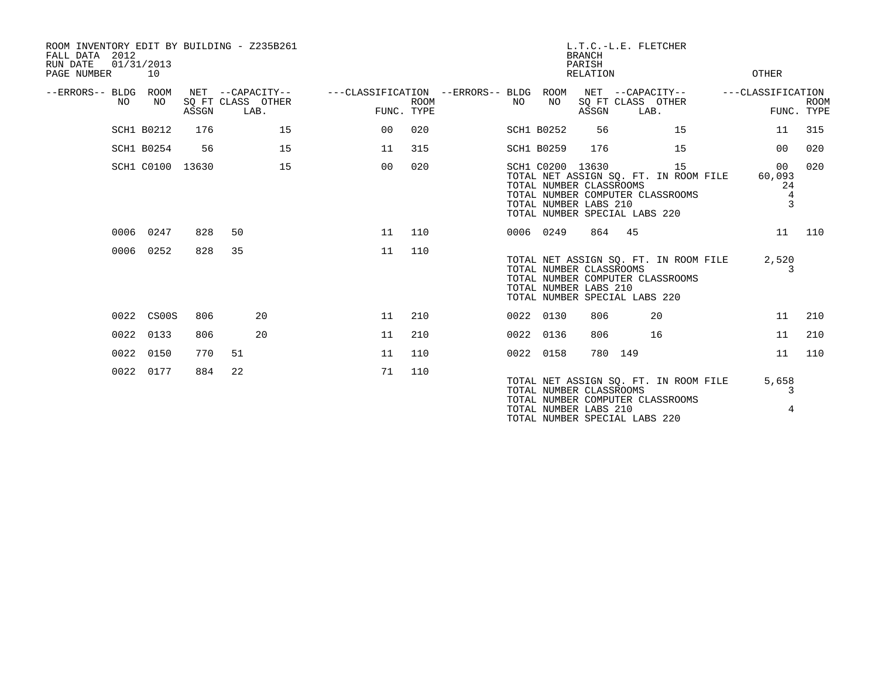| ROOM INVENTORY EDIT BY BUILDING - Z235B261<br>FALL DATA 2012<br>RUN DATE<br>PAGE NUMBER | 01/31/2013<br>10  |       |                                               |                                        |                           |    |                                                                      | <b>BRANCH</b><br>PARISH<br>RELATION | L.T.C.-L.E. FLETCHER                                                                                       |    | OTHER                                     |                           |
|-----------------------------------------------------------------------------------------|-------------------|-------|-----------------------------------------------|----------------------------------------|---------------------------|----|----------------------------------------------------------------------|-------------------------------------|------------------------------------------------------------------------------------------------------------|----|-------------------------------------------|---------------------------|
| --ERRORS-- BLDG ROOM<br>NO.                                                             | NO.               | ASSGN | NET --CAPACITY--<br>SO FT CLASS OTHER<br>LAB. | ---CLASSIFICATION --ERRORS-- BLDG ROOM | <b>ROOM</b><br>FUNC. TYPE | NO | NO                                                                   | ASSGN                               | NET --CAPACITY--<br>SO FT CLASS OTHER<br>LAB.                                                              |    | ---CLASSIFICATION                         | <b>ROOM</b><br>FUNC. TYPE |
|                                                                                         | SCH1 B0212        | 176   | 15                                            | 00                                     | 020                       |    | <b>SCH1 B0252</b>                                                    | 56                                  |                                                                                                            | 15 | 11                                        | 315                       |
|                                                                                         | <b>SCH1 B0254</b> | 56    | 15                                            | 11                                     | 315                       |    | <b>SCH1 B0259</b>                                                    | 176                                 |                                                                                                            | 15 | 00                                        | 020                       |
|                                                                                         | SCH1 C0100 13630  |       | 15                                            | 0 <sub>0</sub>                         | 020                       |    | SCH1 C0200 13630<br>TOTAL NUMBER CLASSROOMS<br>TOTAL NUMBER LABS 210 |                                     | TOTAL NET ASSIGN SQ. FT. IN ROOM FILE<br>TOTAL NUMBER COMPUTER CLASSROOMS<br>TOTAL NUMBER SPECIAL LABS 220 | 15 | 00 <sub>o</sub><br>60,093<br>24<br>4<br>3 | 020                       |
|                                                                                         | 0006 0247         | 828   | 50                                            | 11                                     | 110                       |    | 0006 0249                                                            | 864                                 | 45                                                                                                         |    | 11                                        | 110                       |
|                                                                                         | 0006 0252         | 828   | 35                                            | 11                                     | 110                       |    | TOTAL NUMBER CLASSROOMS<br>TOTAL NUMBER LABS 210                     |                                     | TOTAL NET ASSIGN SO. FT. IN ROOM FILE<br>TOTAL NUMBER COMPUTER CLASSROOMS<br>TOTAL NUMBER SPECIAL LABS 220 |    | 2,520<br>3                                |                           |
|                                                                                         | 0022 CS00S        | 806   | 20                                            | 11                                     | 210                       |    | 0022 0130                                                            | 806                                 | 20                                                                                                         |    | 11                                        | 210                       |
| 0022                                                                                    | 0133              | 806   | 20                                            | 11                                     | 210                       |    | 0022 0136                                                            | 806                                 | 16                                                                                                         |    | 11                                        | 210                       |
|                                                                                         | 0022 0150         | 770   | 51                                            | 11                                     | 110                       |    | 0022 0158                                                            |                                     | 780 149                                                                                                    |    | 11                                        | 110                       |
|                                                                                         | 0022 0177         | 884   | 22                                            | 71                                     | 110                       |    | TOTAL NUMBER CLASSROOMS<br>TOTAL NUMBER LABS 210                     |                                     | TOTAL NET ASSIGN SQ. FT. IN ROOM FILE<br>TOTAL NUMBER COMPUTER CLASSROOMS<br>TOTAL NUMBER SPECIAL LABS 220 |    | 5,658<br>3<br>4                           |                           |